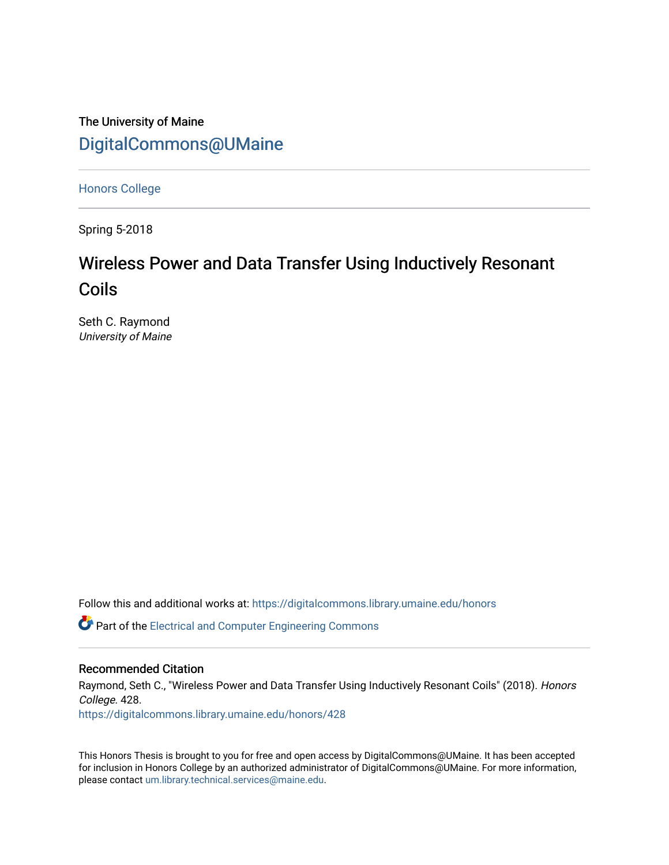### The University of Maine [DigitalCommons@UMaine](https://digitalcommons.library.umaine.edu/)

[Honors College](https://digitalcommons.library.umaine.edu/honors)

Spring 5-2018

# Wireless Power and Data Transfer Using Inductively Resonant Coils

Seth C. Raymond University of Maine

Follow this and additional works at: [https://digitalcommons.library.umaine.edu/honors](https://digitalcommons.library.umaine.edu/honors?utm_source=digitalcommons.library.umaine.edu%2Fhonors%2F428&utm_medium=PDF&utm_campaign=PDFCoverPages) 

**C** Part of the Electrical and Computer Engineering Commons

#### Recommended Citation

Raymond, Seth C., "Wireless Power and Data Transfer Using Inductively Resonant Coils" (2018). Honors College. 428.

[https://digitalcommons.library.umaine.edu/honors/428](https://digitalcommons.library.umaine.edu/honors/428?utm_source=digitalcommons.library.umaine.edu%2Fhonors%2F428&utm_medium=PDF&utm_campaign=PDFCoverPages) 

This Honors Thesis is brought to you for free and open access by DigitalCommons@UMaine. It has been accepted for inclusion in Honors College by an authorized administrator of DigitalCommons@UMaine. For more information, please contact [um.library.technical.services@maine.edu.](mailto:um.library.technical.services@maine.edu)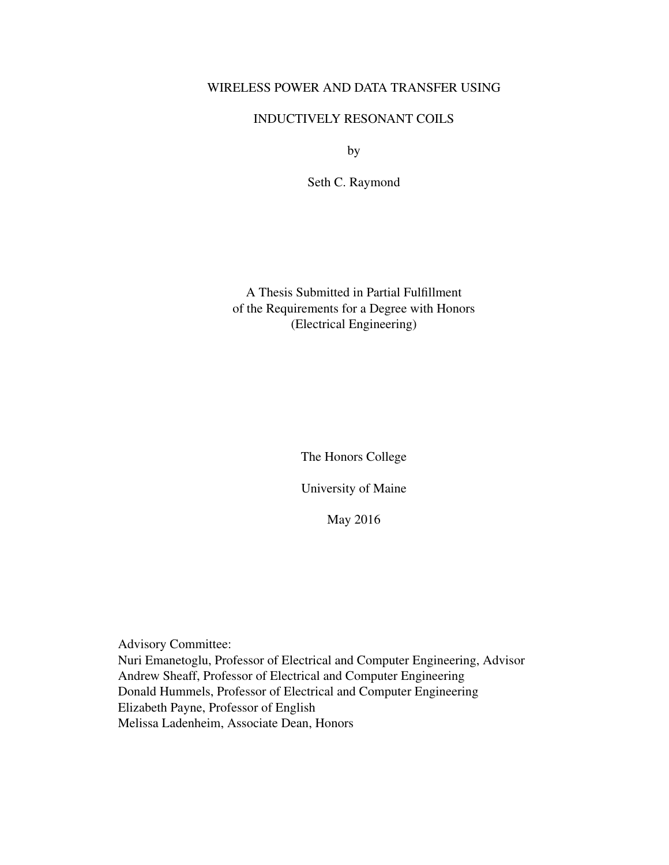#### WIRELESS POWER AND DATA TRANSFER USING

#### INDUCTIVELY RESONANT COILS

by

Seth C. Raymond

A Thesis Submitted in Partial Fulfillment of the Requirements for a Degree with Honors (Electrical Engineering)

The Honors College

University of Maine

May 2016

Advisory Committee: Nuri Emanetoglu, Professor of Electrical and Computer Engineering, Advisor Andrew Sheaff, Professor of Electrical and Computer Engineering Donald Hummels, Professor of Electrical and Computer Engineering Elizabeth Payne, Professor of English Melissa Ladenheim, Associate Dean, Honors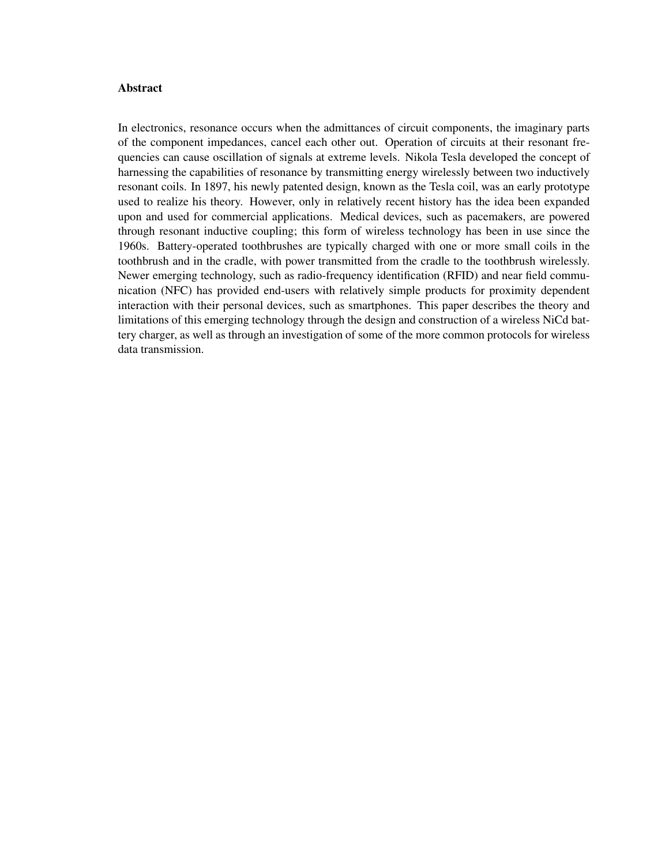#### Abstract

In electronics, resonance occurs when the admittances of circuit components, the imaginary parts of the component impedances, cancel each other out. Operation of circuits at their resonant frequencies can cause oscillation of signals at extreme levels. Nikola Tesla developed the concept of harnessing the capabilities of resonance by transmitting energy wirelessly between two inductively resonant coils. In 1897, his newly patented design, known as the Tesla coil, was an early prototype used to realize his theory. However, only in relatively recent history has the idea been expanded upon and used for commercial applications. Medical devices, such as pacemakers, are powered through resonant inductive coupling; this form of wireless technology has been in use since the 1960s. Battery-operated toothbrushes are typically charged with one or more small coils in the toothbrush and in the cradle, with power transmitted from the cradle to the toothbrush wirelessly. Newer emerging technology, such as radio-frequency identification (RFID) and near field communication (NFC) has provided end-users with relatively simple products for proximity dependent interaction with their personal devices, such as smartphones. This paper describes the theory and limitations of this emerging technology through the design and construction of a wireless NiCd battery charger, as well as through an investigation of some of the more common protocols for wireless data transmission.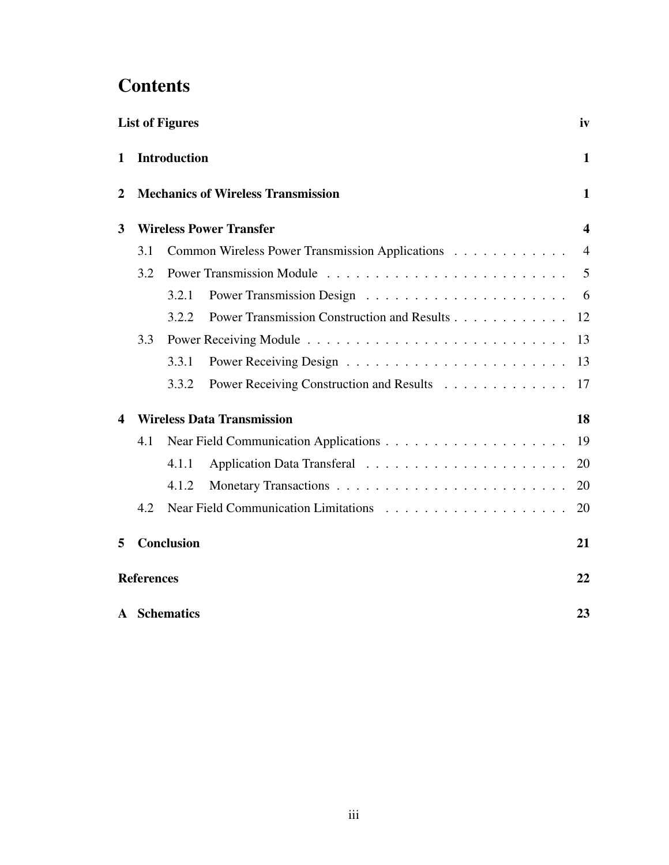# **Contents**

| <b>List of Figures</b> |                                                                                                    |              |                                             |                              |  |
|------------------------|----------------------------------------------------------------------------------------------------|--------------|---------------------------------------------|------------------------------|--|
| 1                      | <b>Introduction</b><br><b>Mechanics of Wireless Transmission</b><br><b>Wireless Power Transfer</b> |              |                                             | $\mathbf{1}$                 |  |
| $\overline{2}$<br>3    |                                                                                                    |              |                                             | 1<br>$\overline{\mathbf{4}}$ |  |
|                        |                                                                                                    |              |                                             |                              |  |
|                        | 3.2                                                                                                |              |                                             | 5                            |  |
|                        |                                                                                                    | 3.2.1        |                                             | - 6                          |  |
|                        |                                                                                                    | 3.2.2        | Power Transmission Construction and Results | 12                           |  |
|                        | 3.3                                                                                                |              |                                             | 13                           |  |
|                        |                                                                                                    | 3.3.1        |                                             | 13                           |  |
|                        |                                                                                                    | 3.3.2        | Power Receiving Construction and Results    | 17                           |  |
| 4                      | <b>Wireless Data Transmission</b>                                                                  |              |                                             | 18                           |  |
|                        | 4.1                                                                                                |              |                                             | 19                           |  |
|                        |                                                                                                    | 4.1.1        |                                             | 20                           |  |
|                        |                                                                                                    | 4.1.2        |                                             | 20                           |  |
|                        | 4.2                                                                                                |              |                                             | 20                           |  |
| 5                      | <b>Conclusion</b>                                                                                  |              |                                             | 21                           |  |
|                        | <b>References</b>                                                                                  |              |                                             |                              |  |
|                        |                                                                                                    | A Schematics |                                             | 23                           |  |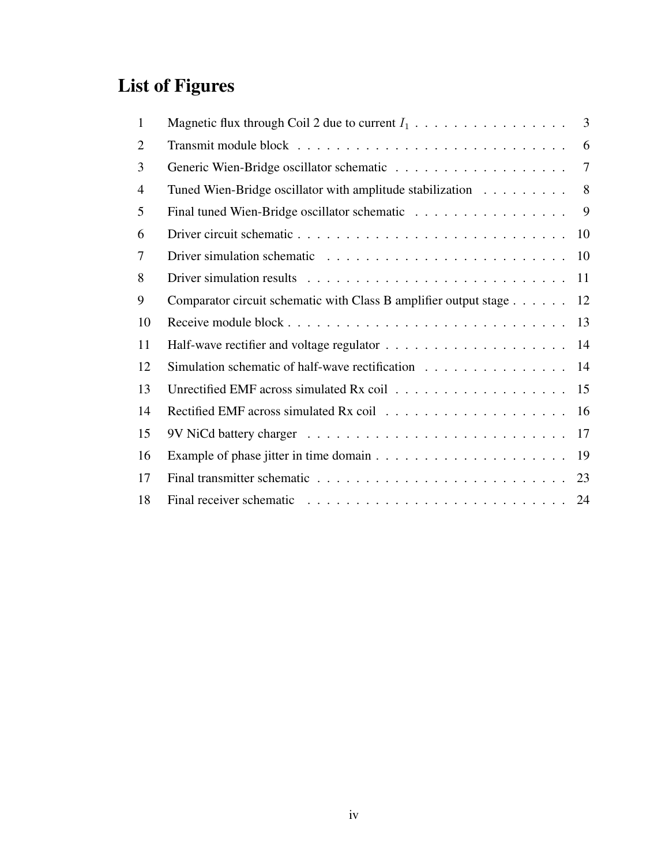# List of Figures

| $\mathbf{1}$   | Magnetic flux through Coil 2 due to current $I_1$                        | $\overline{3}$ |
|----------------|--------------------------------------------------------------------------|----------------|
| $\overline{2}$ |                                                                          | 6              |
| 3              |                                                                          | 7              |
| $\overline{4}$ | Tuned Wien-Bridge oscillator with amplitude stabilization                | 8              |
| 5              | Final tuned Wien-Bridge oscillator schematic                             | 9              |
| 6              |                                                                          | 10             |
| 7              |                                                                          |                |
| 8              |                                                                          | 11             |
| 9              | Comparator circuit schematic with Class B amplifier output stage $\dots$ | 12             |
| 10             |                                                                          | 13             |
| 11             |                                                                          |                |
| 12             | Simulation schematic of half-wave rectification 14                       |                |
| 13             |                                                                          |                |
| 14             |                                                                          |                |
| 15             |                                                                          |                |
| 16             |                                                                          |                |
| 17             |                                                                          |                |
| 18             |                                                                          |                |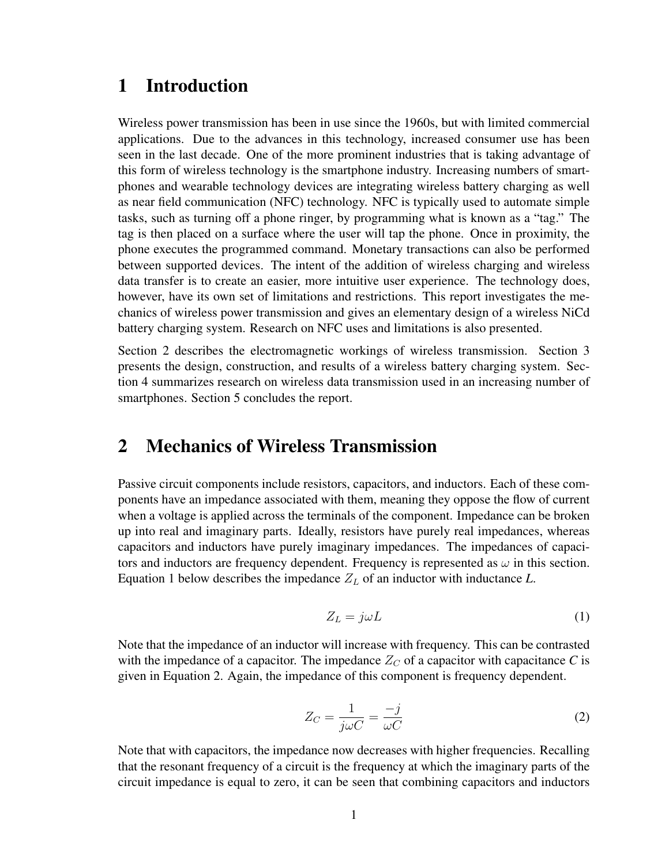### 1 Introduction

Wireless power transmission has been in use since the 1960s, but with limited commercial applications. Due to the advances in this technology, increased consumer use has been seen in the last decade. One of the more prominent industries that is taking advantage of this form of wireless technology is the smartphone industry. Increasing numbers of smartphones and wearable technology devices are integrating wireless battery charging as well as near field communication (NFC) technology. NFC is typically used to automate simple tasks, such as turning off a phone ringer, by programming what is known as a "tag." The tag is then placed on a surface where the user will tap the phone. Once in proximity, the phone executes the programmed command. Monetary transactions can also be performed between supported devices. The intent of the addition of wireless charging and wireless data transfer is to create an easier, more intuitive user experience. The technology does, however, have its own set of limitations and restrictions. This report investigates the mechanics of wireless power transmission and gives an elementary design of a wireless NiCd battery charging system. Research on NFC uses and limitations is also presented.

Section 2 describes the electromagnetic workings of wireless transmission. Section 3 presents the design, construction, and results of a wireless battery charging system. Section 4 summarizes research on wireless data transmission used in an increasing number of smartphones. Section 5 concludes the report.

### 2 Mechanics of Wireless Transmission

Passive circuit components include resistors, capacitors, and inductors. Each of these components have an impedance associated with them, meaning they oppose the flow of current when a voltage is applied across the terminals of the component. Impedance can be broken up into real and imaginary parts. Ideally, resistors have purely real impedances, whereas capacitors and inductors have purely imaginary impedances. The impedances of capacitors and inductors are frequency dependent. Frequency is represented as  $\omega$  in this section. Equation 1 below describes the impedance  $Z_L$  of an inductor with inductance  $L$ .

$$
Z_L = j\omega L \tag{1}
$$

Note that the impedance of an inductor will increase with frequency. This can be contrasted with the impedance of a capacitor. The impedance  $Z_C$  of a capacitor with capacitance C is given in Equation 2. Again, the impedance of this component is frequency dependent.

$$
Z_C = \frac{1}{j\omega C} = \frac{-j}{\omega C}
$$
 (2)

Note that with capacitors, the impedance now decreases with higher frequencies. Recalling that the resonant frequency of a circuit is the frequency at which the imaginary parts of the circuit impedance is equal to zero, it can be seen that combining capacitors and inductors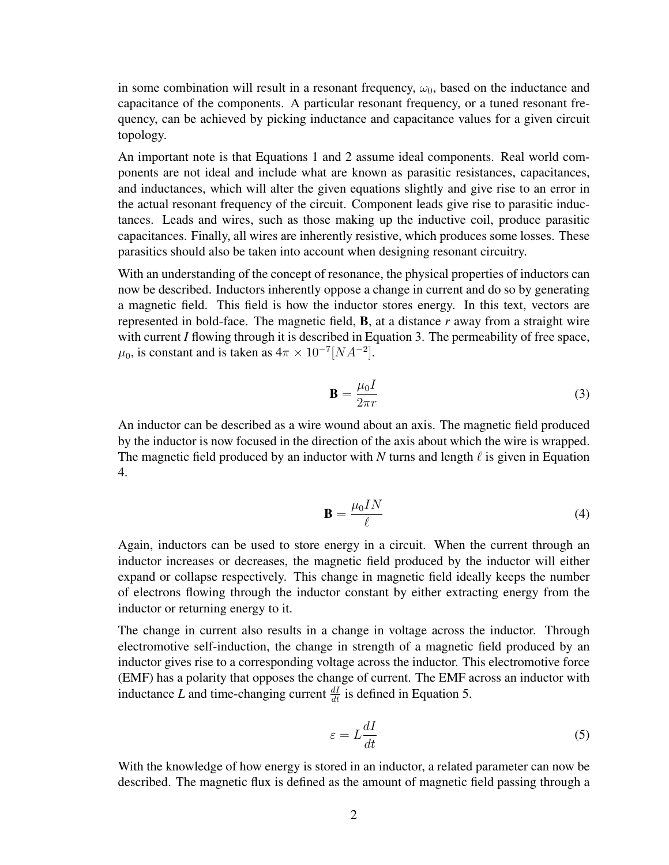in some combination will result in a resonant frequency,  $\omega_0$ , based on the inductance and capacitance of the components. A particular resonant frequency, or a tuned resonant frequency, can be achieved by picking inductance and capacitance values for a given circuit topology.

An important note is that Equations 1 and 2 assume ideal components. Real world components are not ideal and include what are known as parasitic resistances, capacitances, and inductances, which will alter the given equations slightly and give rise to an error in the actual resonant frequency of the circuit. Component leads give rise to parasitic inductances. Leads and wires, such as those making up the inductive coil, produce parasitic capacitances. Finally, all wires are inherently resistive, which produces some losses. These parasitics should also be taken into account when designing resonant circuitry.

With an understanding of the concept of resonance, the physical properties of inductors can now be described. Inductors inherently oppose a change in current and do so by generating a magnetic field. This field is how the inductor stores energy. In this text, vectors are represented in bold-face. The magnetic field, B, at a distance *r* away from a straight wire with current *I* flowing through it is described in Equation 3. The permeability of free space,  $\mu_0$ , is constant and is taken as  $4\pi \times 10^{-7} [NA^{-2}]$ .

$$
\mathbf{B} = \frac{\mu_0 I}{2\pi r} \tag{3}
$$

An inductor can be described as a wire wound about an axis. The magnetic field produced by the inductor is now focused in the direction of the axis about which the wire is wrapped. The magnetic field produced by an inductor with N turns and length  $\ell$  is given in Equation 4.

$$
\mathbf{B} = \frac{\mu_0 I N}{\ell} \tag{4}
$$

Again, inductors can be used to store energy in a circuit. When the current through an inductor increases or decreases, the magnetic field produced by the inductor will either expand or collapse respectively. This change in magnetic field ideally keeps the number of electrons flowing through the inductor constant by either extracting energy from the inductor or returning energy to it.

The change in current also results in a change in voltage across the inductor. Through electromotive self-induction, the change in strength of a magnetic field produced by an inductor gives rise to a corresponding voltage across the inductor. This electromotive force (EMF) has a polarity that opposes the change of current. The EMF across an inductor with inductance *L* and time-changing current  $\frac{dI}{dt}$  is defined in Equation 5.

$$
\varepsilon = L \frac{dI}{dt} \tag{5}
$$

With the knowledge of how energy is stored in an inductor, a related parameter can now be described. The magnetic flux is defined as the amount of magnetic field passing through a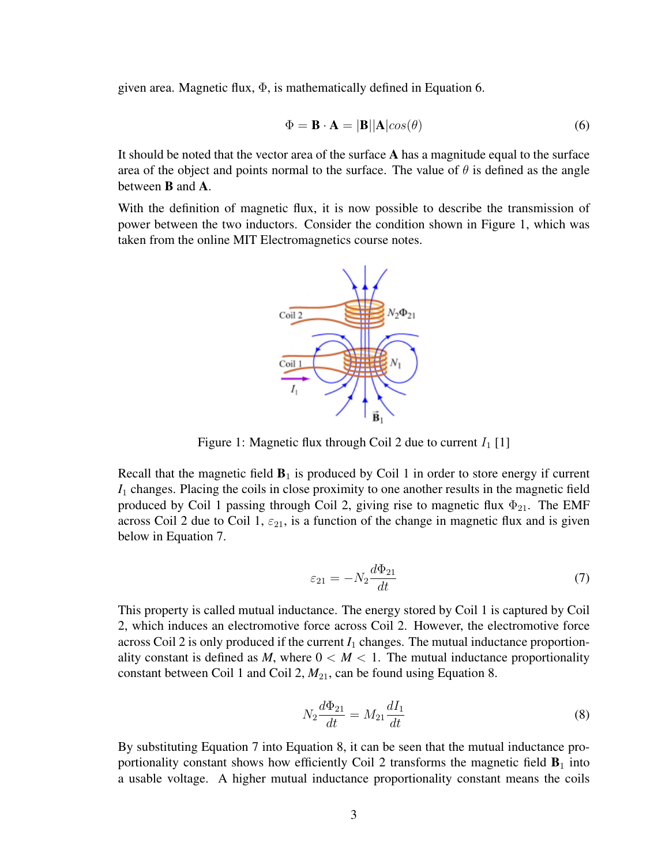given area. Magnetic flux,  $\Phi$ , is mathematically defined in Equation 6.

$$
\Phi = \mathbf{B} \cdot \mathbf{A} = |\mathbf{B}| |\mathbf{A}| \cos(\theta) \tag{6}
$$

It should be noted that the vector area of the surface  $\bf{A}$  has a magnitude equal to the surface area of the object and points normal to the surface. The value of  $\theta$  is defined as the angle between B and A.

With the definition of magnetic flux, it is now possible to describe the transmission of power between the two inductors. Consider the condition shown in Figure 1, which was taken from the online MIT Electromagnetics course notes.



Figure 1: Magnetic flux through Coil 2 due to current  $I_1$  [1]

Recall that the magnetic field  $\mathbf{B}_1$  is produced by Coil 1 in order to store energy if current *I*<sup>1</sup> changes. Placing the coils in close proximity to one another results in the magnetic field produced by Coil 1 passing through Coil 2, giving rise to magnetic flux  $\Phi_{21}$ . The EMF across Coil 2 due to Coil 1,  $\varepsilon_{21}$ , is a function of the change in magnetic flux and is given below in Equation 7.

$$
\varepsilon_{21} = -N_2 \frac{d\Phi_{21}}{dt} \tag{7}
$$

This property is called mutual inductance. The energy stored by Coil 1 is captured by Coil 2, which induces an electromotive force across Coil 2. However, the electromotive force across Coil 2 is only produced if the current  $I_1$  changes. The mutual inductance proportionality constant is defined as *M*, where  $0 < M < 1$ . The mutual inductance proportionality constant between Coil 1 and Coil 2,  $M_{21}$ , can be found using Equation 8.

$$
N_2 \frac{d\Phi_{21}}{dt} = M_{21} \frac{dI_1}{dt}
$$
 (8)

By substituting Equation 7 into Equation 8, it can be seen that the mutual inductance proportionality constant shows how efficiently Coil 2 transforms the magnetic field  $\mathbf{B}_1$  into a usable voltage. A higher mutual inductance proportionality constant means the coils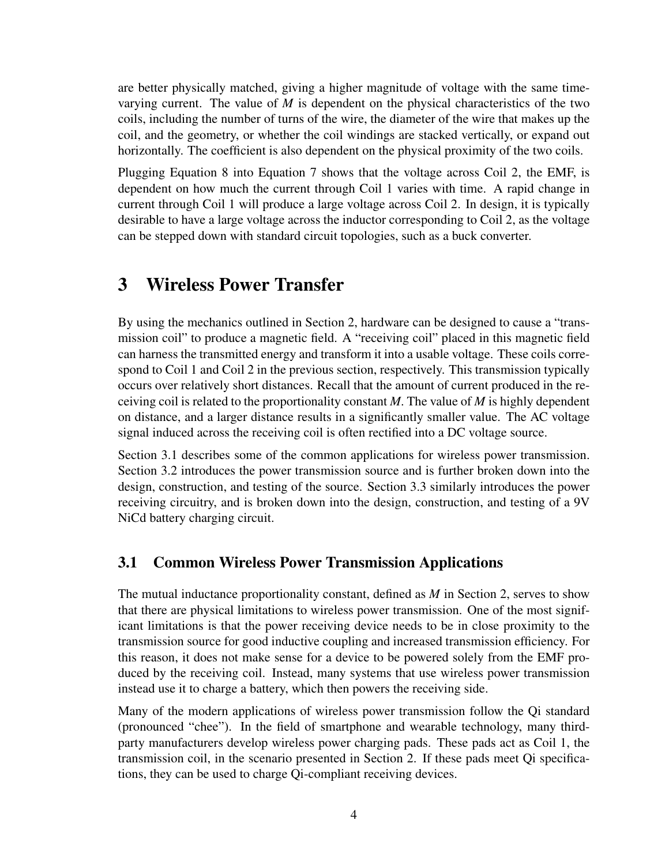are better physically matched, giving a higher magnitude of voltage with the same timevarying current. The value of *M* is dependent on the physical characteristics of the two coils, including the number of turns of the wire, the diameter of the wire that makes up the coil, and the geometry, or whether the coil windings are stacked vertically, or expand out horizontally. The coefficient is also dependent on the physical proximity of the two coils.

Plugging Equation 8 into Equation 7 shows that the voltage across Coil 2, the EMF, is dependent on how much the current through Coil 1 varies with time. A rapid change in current through Coil 1 will produce a large voltage across Coil 2. In design, it is typically desirable to have a large voltage across the inductor corresponding to Coil 2, as the voltage can be stepped down with standard circuit topologies, such as a buck converter.

### 3 Wireless Power Transfer

By using the mechanics outlined in Section 2, hardware can be designed to cause a "transmission coil" to produce a magnetic field. A "receiving coil" placed in this magnetic field can harness the transmitted energy and transform it into a usable voltage. These coils correspond to Coil 1 and Coil 2 in the previous section, respectively. This transmission typically occurs over relatively short distances. Recall that the amount of current produced in the receiving coil is related to the proportionality constant *M*. The value of *M* is highly dependent on distance, and a larger distance results in a significantly smaller value. The AC voltage signal induced across the receiving coil is often rectified into a DC voltage source.

Section 3.1 describes some of the common applications for wireless power transmission. Section 3.2 introduces the power transmission source and is further broken down into the design, construction, and testing of the source. Section 3.3 similarly introduces the power receiving circuitry, and is broken down into the design, construction, and testing of a 9V NiCd battery charging circuit.

### 3.1 Common Wireless Power Transmission Applications

The mutual inductance proportionality constant, defined as *M* in Section 2, serves to show that there are physical limitations to wireless power transmission. One of the most significant limitations is that the power receiving device needs to be in close proximity to the transmission source for good inductive coupling and increased transmission efficiency. For this reason, it does not make sense for a device to be powered solely from the EMF produced by the receiving coil. Instead, many systems that use wireless power transmission instead use it to charge a battery, which then powers the receiving side.

Many of the modern applications of wireless power transmission follow the Qi standard (pronounced "chee"). In the field of smartphone and wearable technology, many thirdparty manufacturers develop wireless power charging pads. These pads act as Coil 1, the transmission coil, in the scenario presented in Section 2. If these pads meet Qi specifications, they can be used to charge Qi-compliant receiving devices.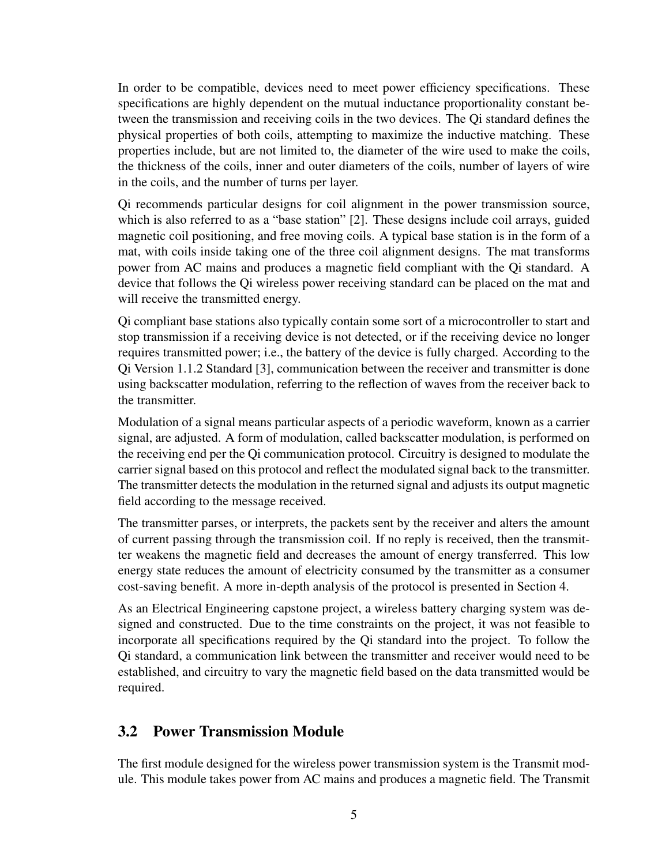In order to be compatible, devices need to meet power efficiency specifications. These specifications are highly dependent on the mutual inductance proportionality constant between the transmission and receiving coils in the two devices. The Qi standard defines the physical properties of both coils, attempting to maximize the inductive matching. These properties include, but are not limited to, the diameter of the wire used to make the coils, the thickness of the coils, inner and outer diameters of the coils, number of layers of wire in the coils, and the number of turns per layer.

Qi recommends particular designs for coil alignment in the power transmission source, which is also referred to as a "base station" [2]. These designs include coil arrays, guided magnetic coil positioning, and free moving coils. A typical base station is in the form of a mat, with coils inside taking one of the three coil alignment designs. The mat transforms power from AC mains and produces a magnetic field compliant with the Qi standard. A device that follows the Qi wireless power receiving standard can be placed on the mat and will receive the transmitted energy.

Qi compliant base stations also typically contain some sort of a microcontroller to start and stop transmission if a receiving device is not detected, or if the receiving device no longer requires transmitted power; i.e., the battery of the device is fully charged. According to the Qi Version 1.1.2 Standard [3], communication between the receiver and transmitter is done using backscatter modulation, referring to the reflection of waves from the receiver back to the transmitter.

Modulation of a signal means particular aspects of a periodic waveform, known as a carrier signal, are adjusted. A form of modulation, called backscatter modulation, is performed on the receiving end per the Qi communication protocol. Circuitry is designed to modulate the carrier signal based on this protocol and reflect the modulated signal back to the transmitter. The transmitter detects the modulation in the returned signal and adjusts its output magnetic field according to the message received.

The transmitter parses, or interprets, the packets sent by the receiver and alters the amount of current passing through the transmission coil. If no reply is received, then the transmitter weakens the magnetic field and decreases the amount of energy transferred. This low energy state reduces the amount of electricity consumed by the transmitter as a consumer cost-saving benefit. A more in-depth analysis of the protocol is presented in Section 4.

As an Electrical Engineering capstone project, a wireless battery charging system was designed and constructed. Due to the time constraints on the project, it was not feasible to incorporate all specifications required by the Qi standard into the project. To follow the Qi standard, a communication link between the transmitter and receiver would need to be established, and circuitry to vary the magnetic field based on the data transmitted would be required.

#### 3.2 Power Transmission Module

The first module designed for the wireless power transmission system is the Transmit module. This module takes power from AC mains and produces a magnetic field. The Transmit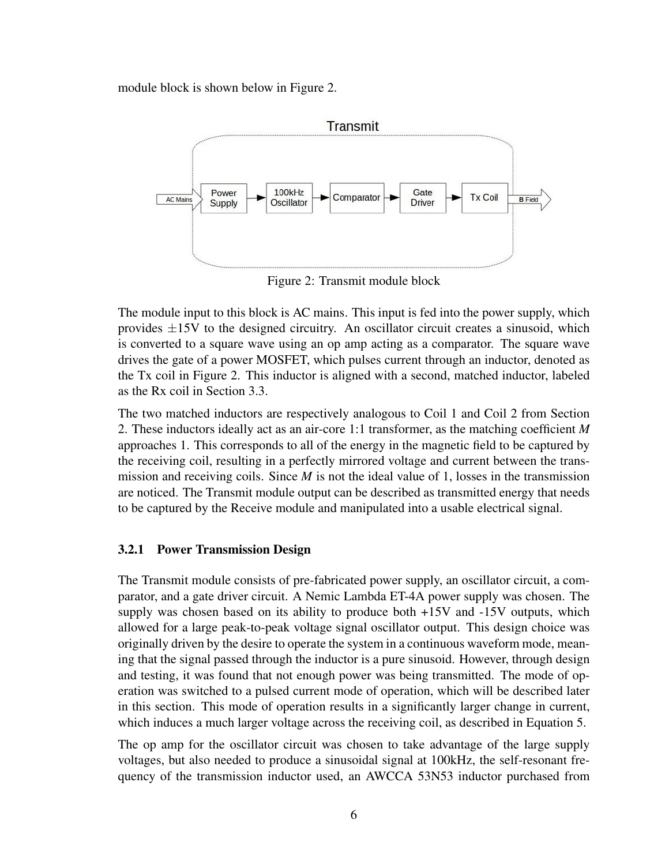module block is shown below in Figure 2.



Figure 2: Transmit module block

The module input to this block is AC mains. This input is fed into the power supply, which provides  $\pm 15V$  to the designed circuitry. An oscillator circuit creates a sinusoid, which is converted to a square wave using an op amp acting as a comparator. The square wave drives the gate of a power MOSFET, which pulses current through an inductor, denoted as the Tx coil in Figure 2. This inductor is aligned with a second, matched inductor, labeled as the Rx coil in Section 3.3.

The two matched inductors are respectively analogous to Coil 1 and Coil 2 from Section 2. These inductors ideally act as an air-core 1:1 transformer, as the matching coefficient *M* approaches 1. This corresponds to all of the energy in the magnetic field to be captured by the receiving coil, resulting in a perfectly mirrored voltage and current between the transmission and receiving coils. Since *M* is not the ideal value of 1, losses in the transmission are noticed. The Transmit module output can be described as transmitted energy that needs to be captured by the Receive module and manipulated into a usable electrical signal.

#### 3.2.1 Power Transmission Design

The Transmit module consists of pre-fabricated power supply, an oscillator circuit, a comparator, and a gate driver circuit. A Nemic Lambda ET-4A power supply was chosen. The supply was chosen based on its ability to produce both +15V and -15V outputs, which allowed for a large peak-to-peak voltage signal oscillator output. This design choice was originally driven by the desire to operate the system in a continuous waveform mode, meaning that the signal passed through the inductor is a pure sinusoid. However, through design and testing, it was found that not enough power was being transmitted. The mode of operation was switched to a pulsed current mode of operation, which will be described later in this section. This mode of operation results in a significantly larger change in current, which induces a much larger voltage across the receiving coil, as described in Equation 5.

The op amp for the oscillator circuit was chosen to take advantage of the large supply voltages, but also needed to produce a sinusoidal signal at 100kHz, the self-resonant frequency of the transmission inductor used, an AWCCA 53N53 inductor purchased from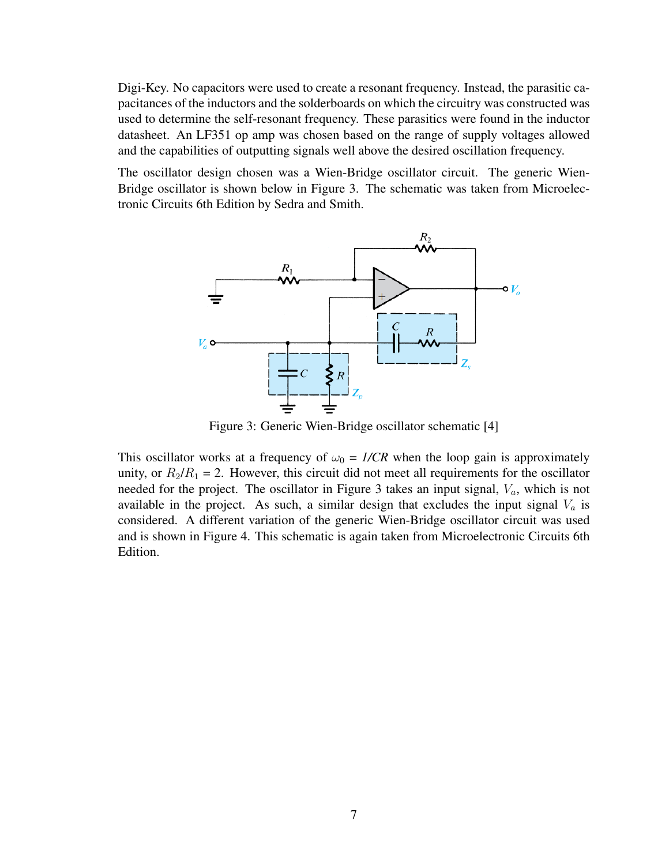Digi-Key. No capacitors were used to create a resonant frequency. Instead, the parasitic capacitances of the inductors and the solderboards on which the circuitry was constructed was used to determine the self-resonant frequency. These parasitics were found in the inductor datasheet. An LF351 op amp was chosen based on the range of supply voltages allowed and the capabilities of outputting signals well above the desired oscillation frequency.

The oscillator design chosen was a Wien-Bridge oscillator circuit. The generic Wien-Bridge oscillator is shown below in Figure 3. The schematic was taken from Microelectronic Circuits 6th Edition by Sedra and Smith.



Figure 3: Generic Wien-Bridge oscillator schematic [4]

This oscillator works at a frequency of  $\omega_0 = I/CR$  when the loop gain is approximately unity, or  $R_2/R_1 = 2$ . However, this circuit did not meet all requirements for the oscillator needed for the project. The oscillator in Figure 3 takes an input signal,  $V_a$ , which is not available in the project. As such, a similar design that excludes the input signal  $V_a$  is considered. A different variation of the generic Wien-Bridge oscillator circuit was used and is shown in Figure 4. This schematic is again taken from Microelectronic Circuits 6th Edition.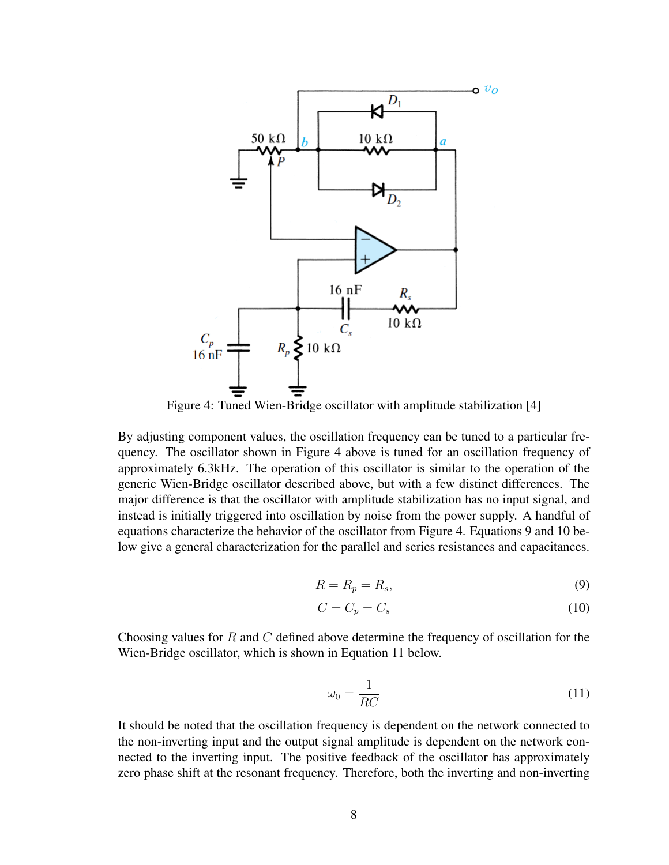

Figure 4: Tuned Wien-Bridge oscillator with amplitude stabilization [4]

By adjusting component values, the oscillation frequency can be tuned to a particular frequency. The oscillator shown in Figure 4 above is tuned for an oscillation frequency of approximately 6.3kHz. The operation of this oscillator is similar to the operation of the generic Wien-Bridge oscillator described above, but with a few distinct differences. The major difference is that the oscillator with amplitude stabilization has no input signal, and instead is initially triggered into oscillation by noise from the power supply. A handful of equations characterize the behavior of the oscillator from Figure 4. Equations 9 and 10 below give a general characterization for the parallel and series resistances and capacitances.

$$
R = R_p = R_s,\tag{9}
$$

$$
C = C_p = C_s \tag{10}
$$

Choosing values for R and C defined above determine the frequency of oscillation for the Wien-Bridge oscillator, which is shown in Equation 11 below.

$$
\omega_0 = \frac{1}{RC} \tag{11}
$$

It should be noted that the oscillation frequency is dependent on the network connected to the non-inverting input and the output signal amplitude is dependent on the network connected to the inverting input. The positive feedback of the oscillator has approximately zero phase shift at the resonant frequency. Therefore, both the inverting and non-inverting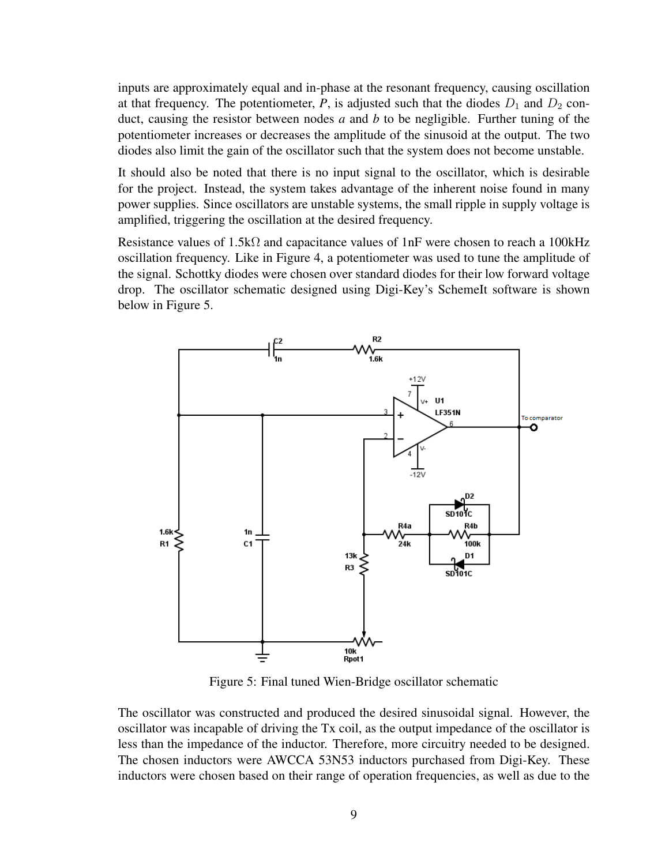inputs are approximately equal and in-phase at the resonant frequency, causing oscillation at that frequency. The potentiometer,  $P$ , is adjusted such that the diodes  $D_1$  and  $D_2$  conduct, causing the resistor between nodes *a* and *b* to be negligible. Further tuning of the potentiometer increases or decreases the amplitude of the sinusoid at the output. The two diodes also limit the gain of the oscillator such that the system does not become unstable.

It should also be noted that there is no input signal to the oscillator, which is desirable for the project. Instead, the system takes advantage of the inherent noise found in many power supplies. Since oscillators are unstable systems, the small ripple in supply voltage is amplified, triggering the oscillation at the desired frequency.

Resistance values of 1.5k $\Omega$  and capacitance values of 1nF were chosen to reach a 100 kHz oscillation frequency. Like in Figure 4, a potentiometer was used to tune the amplitude of the signal. Schottky diodes were chosen over standard diodes for their low forward voltage drop. The oscillator schematic designed using Digi-Key's SchemeIt software is shown below in Figure 5.



Figure 5: Final tuned Wien-Bridge oscillator schematic

The oscillator was constructed and produced the desired sinusoidal signal. However, the oscillator was incapable of driving the Tx coil, as the output impedance of the oscillator is less than the impedance of the inductor. Therefore, more circuitry needed to be designed. The chosen inductors were AWCCA 53N53 inductors purchased from Digi-Key. These inductors were chosen based on their range of operation frequencies, as well as due to the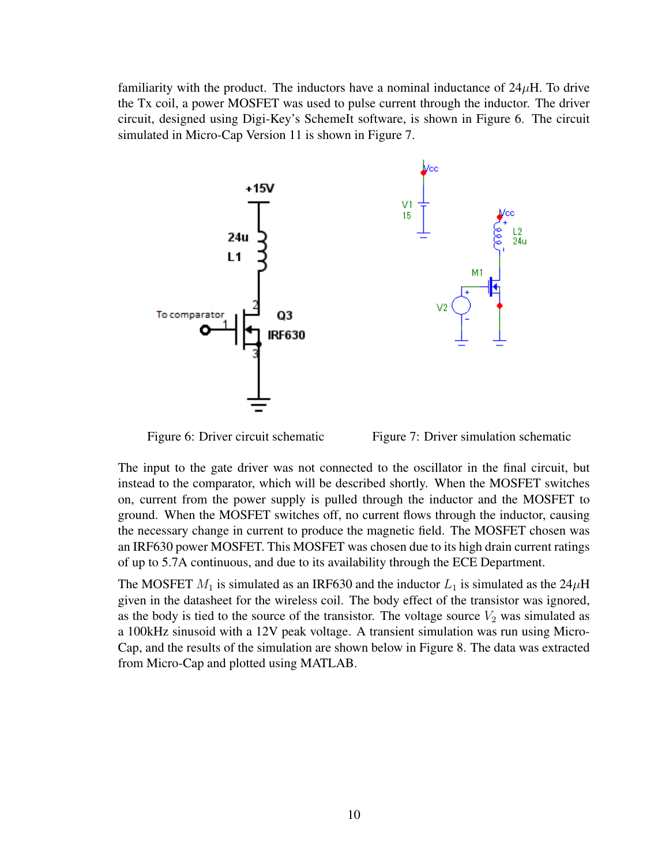familiarity with the product. The inductors have a nominal inductance of  $24\mu$ H. To drive the Tx coil, a power MOSFET was used to pulse current through the inductor. The driver circuit, designed using Digi-Key's SchemeIt software, is shown in Figure 6. The circuit simulated in Micro-Cap Version 11 is shown in Figure 7.



Figure 6: Driver circuit schematic Figure 7: Driver simulation schematic

The input to the gate driver was not connected to the oscillator in the final circuit, but instead to the comparator, which will be described shortly. When the MOSFET switches on, current from the power supply is pulled through the inductor and the MOSFET to ground. When the MOSFET switches off, no current flows through the inductor, causing the necessary change in current to produce the magnetic field. The MOSFET chosen was an IRF630 power MOSFET. This MOSFET was chosen due to its high drain current ratings of up to 5.7A continuous, and due to its availability through the ECE Department.

The MOSFET  $M_1$  is simulated as an IRF630 and the inductor  $L_1$  is simulated as the 24 $\mu$ H given in the datasheet for the wireless coil. The body effect of the transistor was ignored, as the body is tied to the source of the transistor. The voltage source  $V_2$  was simulated as a 100kHz sinusoid with a 12V peak voltage. A transient simulation was run using Micro-Cap, and the results of the simulation are shown below in Figure 8. The data was extracted from Micro-Cap and plotted using MATLAB.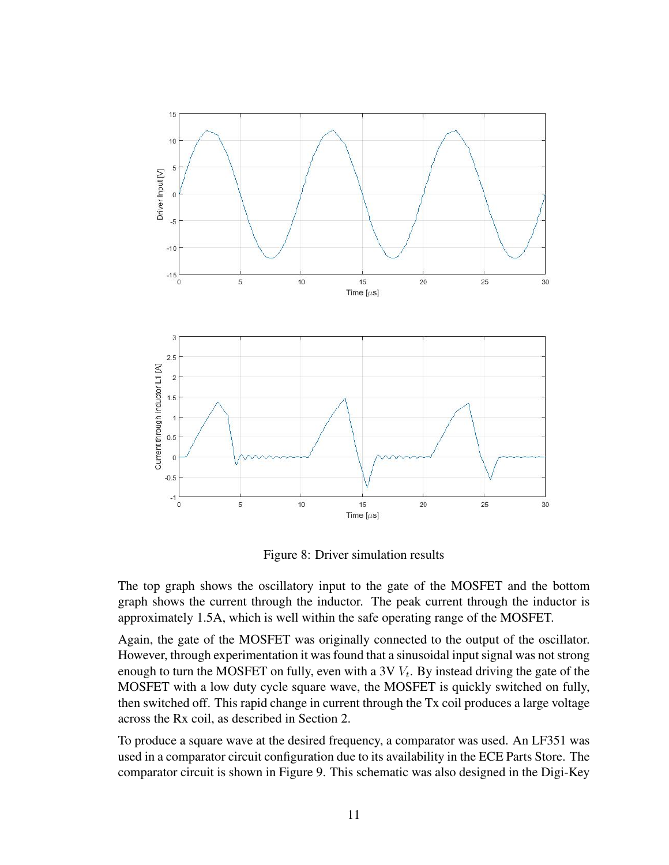

Figure 8: Driver simulation results

The top graph shows the oscillatory input to the gate of the MOSFET and the bottom graph shows the current through the inductor. The peak current through the inductor is approximately 1.5A, which is well within the safe operating range of the MOSFET.

Again, the gate of the MOSFET was originally connected to the output of the oscillator. However, through experimentation it was found that a sinusoidal input signal was not strong enough to turn the MOSFET on fully, even with a 3V  $V_t$ . By instead driving the gate of the MOSFET with a low duty cycle square wave, the MOSFET is quickly switched on fully, then switched off. This rapid change in current through the Tx coil produces a large voltage across the Rx coil, as described in Section 2.

To produce a square wave at the desired frequency, a comparator was used. An LF351 was used in a comparator circuit configuration due to its availability in the ECE Parts Store. The comparator circuit is shown in Figure 9. This schematic was also designed in the Digi-Key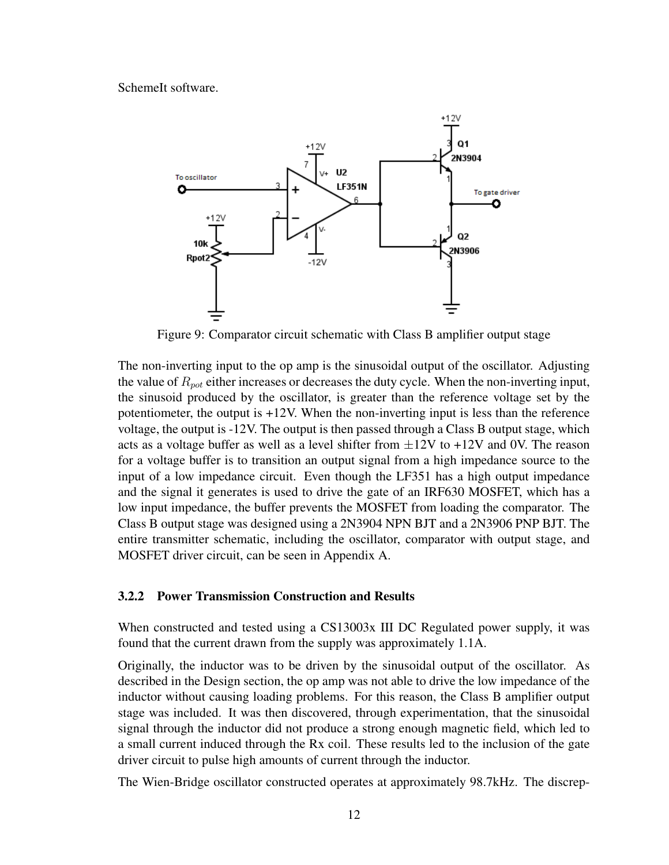SchemeIt software.



Figure 9: Comparator circuit schematic with Class B amplifier output stage

The non-inverting input to the op amp is the sinusoidal output of the oscillator. Adjusting the value of  $R_{pot}$  either increases or decreases the duty cycle. When the non-inverting input, the sinusoid produced by the oscillator, is greater than the reference voltage set by the potentiometer, the output is +12V. When the non-inverting input is less than the reference voltage, the output is -12V. The output is then passed through a Class B output stage, which acts as a voltage buffer as well as a level shifter from  $\pm 12V$  to  $+12V$  and 0V. The reason for a voltage buffer is to transition an output signal from a high impedance source to the input of a low impedance circuit. Even though the LF351 has a high output impedance and the signal it generates is used to drive the gate of an IRF630 MOSFET, which has a low input impedance, the buffer prevents the MOSFET from loading the comparator. The Class B output stage was designed using a 2N3904 NPN BJT and a 2N3906 PNP BJT. The entire transmitter schematic, including the oscillator, comparator with output stage, and MOSFET driver circuit, can be seen in Appendix A.

#### 3.2.2 Power Transmission Construction and Results

When constructed and tested using a CS13003x III DC Regulated power supply, it was found that the current drawn from the supply was approximately 1.1A.

Originally, the inductor was to be driven by the sinusoidal output of the oscillator. As described in the Design section, the op amp was not able to drive the low impedance of the inductor without causing loading problems. For this reason, the Class B amplifier output stage was included. It was then discovered, through experimentation, that the sinusoidal signal through the inductor did not produce a strong enough magnetic field, which led to a small current induced through the Rx coil. These results led to the inclusion of the gate driver circuit to pulse high amounts of current through the inductor.

The Wien-Bridge oscillator constructed operates at approximately 98.7kHz. The discrep-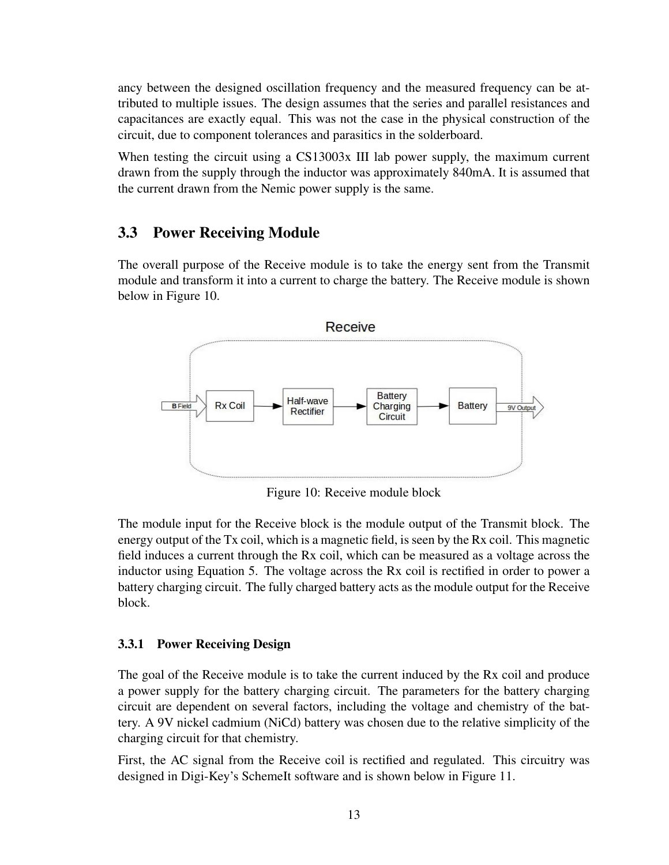ancy between the designed oscillation frequency and the measured frequency can be attributed to multiple issues. The design assumes that the series and parallel resistances and capacitances are exactly equal. This was not the case in the physical construction of the circuit, due to component tolerances and parasitics in the solderboard.

When testing the circuit using a CS13003x III lab power supply, the maximum current drawn from the supply through the inductor was approximately 840mA. It is assumed that the current drawn from the Nemic power supply is the same.

### 3.3 Power Receiving Module

The overall purpose of the Receive module is to take the energy sent from the Transmit module and transform it into a current to charge the battery. The Receive module is shown below in Figure 10.



Figure 10: Receive module block

The module input for the Receive block is the module output of the Transmit block. The energy output of the Tx coil, which is a magnetic field, is seen by the Rx coil. This magnetic field induces a current through the Rx coil, which can be measured as a voltage across the inductor using Equation 5. The voltage across the Rx coil is rectified in order to power a battery charging circuit. The fully charged battery acts as the module output for the Receive block.

#### 3.3.1 Power Receiving Design

The goal of the Receive module is to take the current induced by the Rx coil and produce a power supply for the battery charging circuit. The parameters for the battery charging circuit are dependent on several factors, including the voltage and chemistry of the battery. A 9V nickel cadmium (NiCd) battery was chosen due to the relative simplicity of the charging circuit for that chemistry.

First, the AC signal from the Receive coil is rectified and regulated. This circuitry was designed in Digi-Key's SchemeIt software and is shown below in Figure 11.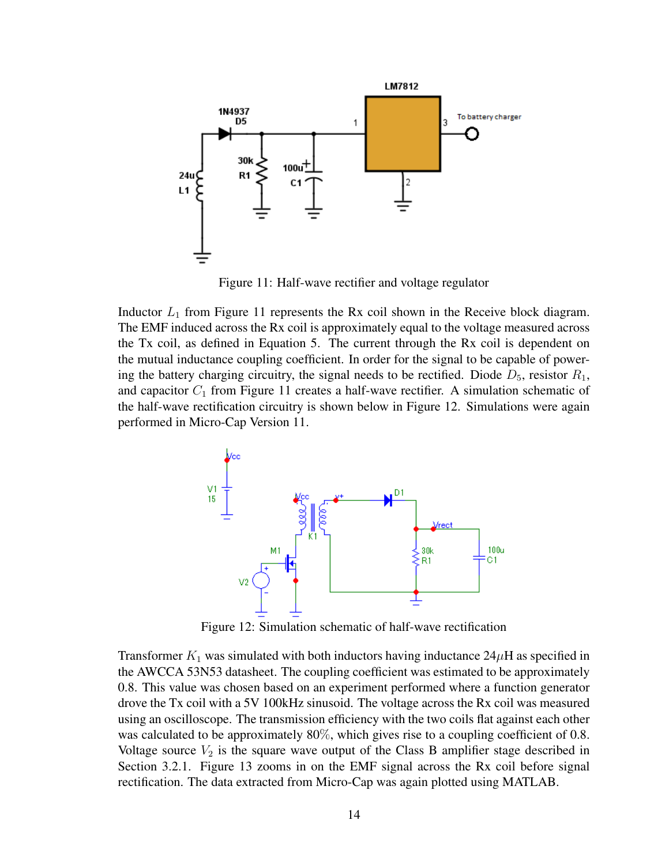

Figure 11: Half-wave rectifier and voltage regulator

Inductor  $L_1$  from Figure 11 represents the Rx coil shown in the Receive block diagram. The EMF induced across the Rx coil is approximately equal to the voltage measured across the Tx coil, as defined in Equation 5. The current through the Rx coil is dependent on the mutual inductance coupling coefficient. In order for the signal to be capable of powering the battery charging circuitry, the signal needs to be rectified. Diode  $D_5$ , resistor  $R_1$ , and capacitor  $C_1$  from Figure 11 creates a half-wave rectifier. A simulation schematic of the half-wave rectification circuitry is shown below in Figure 12. Simulations were again performed in Micro-Cap Version 11.



Figure 12: Simulation schematic of half-wave rectification

Transformer  $K_1$  was simulated with both inductors having inductance  $24\mu$ H as specified in the AWCCA 53N53 datasheet. The coupling coefficient was estimated to be approximately 0.8. This value was chosen based on an experiment performed where a function generator drove the Tx coil with a 5V 100kHz sinusoid. The voltage across the Rx coil was measured using an oscilloscope. The transmission efficiency with the two coils flat against each other was calculated to be approximately 80%, which gives rise to a coupling coefficient of 0.8. Voltage source  $V_2$  is the square wave output of the Class B amplifier stage described in Section 3.2.1. Figure 13 zooms in on the EMF signal across the Rx coil before signal rectification. The data extracted from Micro-Cap was again plotted using MATLAB.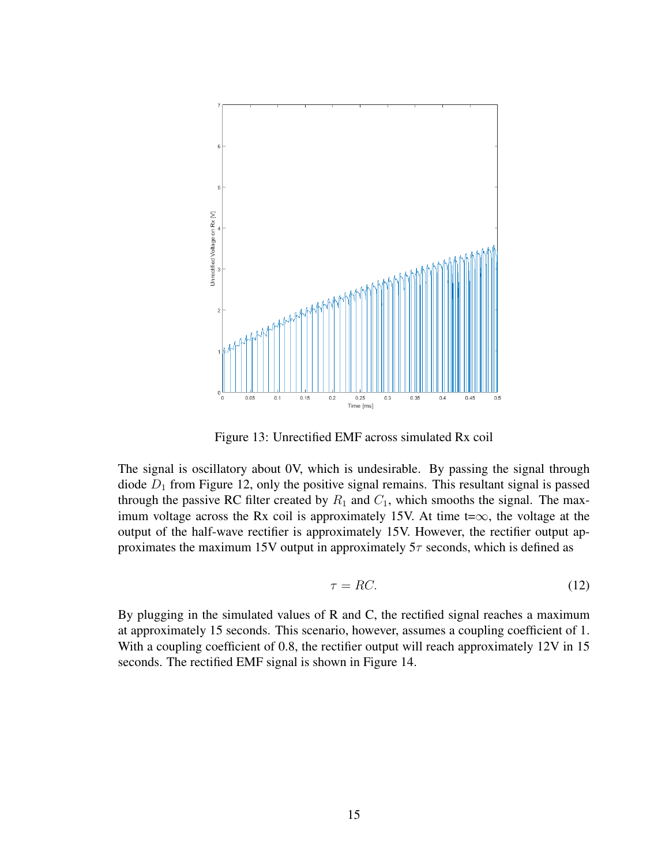

Figure 13: Unrectified EMF across simulated Rx coil

The signal is oscillatory about 0V, which is undesirable. By passing the signal through diode  $D_1$  from Figure 12, only the positive signal remains. This resultant signal is passed through the passive RC filter created by  $R_1$  and  $C_1$ , which smooths the signal. The maximum voltage across the Rx coil is approximately 15V. At time t= $\infty$ , the voltage at the output of the half-wave rectifier is approximately 15V. However, the rectifier output approximates the maximum 15V output in approximately  $5\tau$  seconds, which is defined as

$$
\tau = RC.\tag{12}
$$

By plugging in the simulated values of R and C, the rectified signal reaches a maximum at approximately 15 seconds. This scenario, however, assumes a coupling coefficient of 1. With a coupling coefficient of 0.8, the rectifier output will reach approximately 12V in 15 seconds. The rectified EMF signal is shown in Figure 14.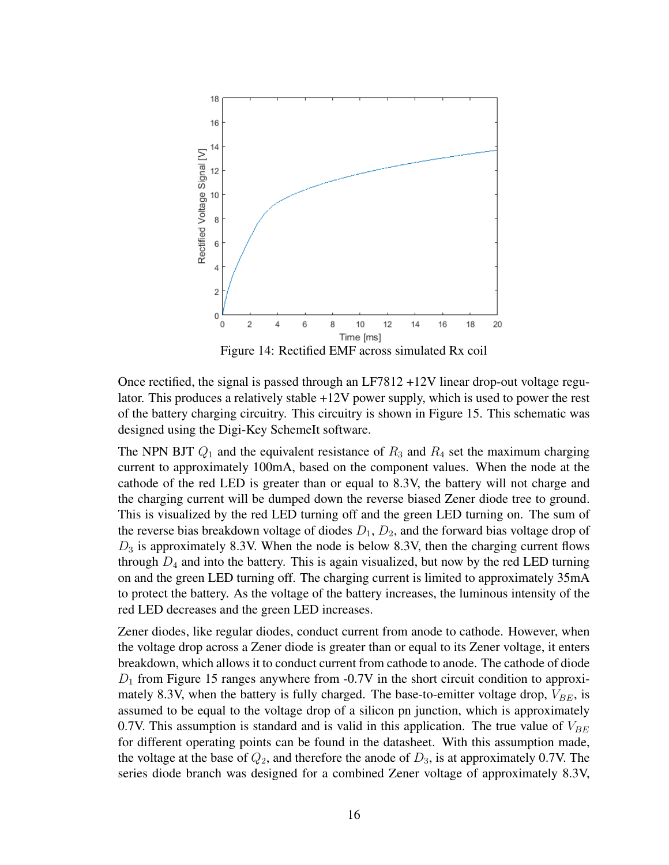

Figure 14: Rectified EMF across simulated Rx coil

Once rectified, the signal is passed through an LF7812 +12V linear drop-out voltage regulator. This produces a relatively stable +12V power supply, which is used to power the rest of the battery charging circuitry. This circuitry is shown in Figure 15. This schematic was designed using the Digi-Key SchemeIt software.

The NPN BJT  $Q_1$  and the equivalent resistance of  $R_3$  and  $R_4$  set the maximum charging current to approximately 100mA, based on the component values. When the node at the cathode of the red LED is greater than or equal to 8.3V, the battery will not charge and the charging current will be dumped down the reverse biased Zener diode tree to ground. This is visualized by the red LED turning off and the green LED turning on. The sum of the reverse bias breakdown voltage of diodes  $D_1$ ,  $D_2$ , and the forward bias voltage drop of  $D_3$  is approximately 8.3V. When the node is below 8.3V, then the charging current flows through  $D_4$  and into the battery. This is again visualized, but now by the red LED turning on and the green LED turning off. The charging current is limited to approximately 35mA to protect the battery. As the voltage of the battery increases, the luminous intensity of the red LED decreases and the green LED increases.

Zener diodes, like regular diodes, conduct current from anode to cathode. However, when the voltage drop across a Zener diode is greater than or equal to its Zener voltage, it enters breakdown, which allows it to conduct current from cathode to anode. The cathode of diode  $D_1$  from Figure 15 ranges anywhere from -0.7V in the short circuit condition to approximately 8.3V, when the battery is fully charged. The base-to-emitter voltage drop,  $V_{BE}$ , is assumed to be equal to the voltage drop of a silicon pn junction, which is approximately 0.7V. This assumption is standard and is valid in this application. The true value of  $V_{BE}$ for different operating points can be found in the datasheet. With this assumption made, the voltage at the base of  $Q_2$ , and therefore the anode of  $D_3$ , is at approximately 0.7V. The series diode branch was designed for a combined Zener voltage of approximately 8.3V,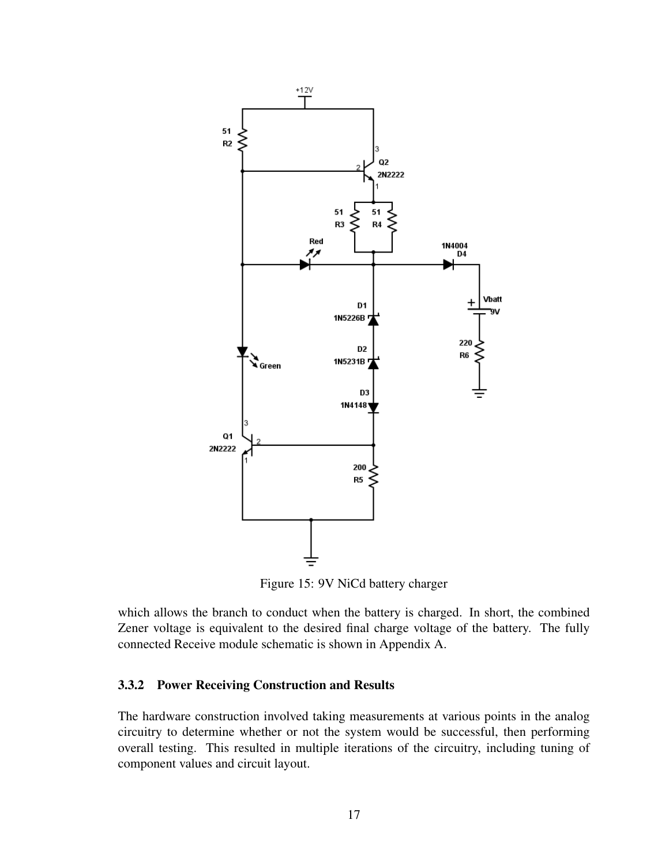

Figure 15: 9V NiCd battery charger

which allows the branch to conduct when the battery is charged. In short, the combined Zener voltage is equivalent to the desired final charge voltage of the battery. The fully connected Receive module schematic is shown in Appendix A.

#### 3.3.2 Power Receiving Construction and Results

The hardware construction involved taking measurements at various points in the analog circuitry to determine whether or not the system would be successful, then performing overall testing. This resulted in multiple iterations of the circuitry, including tuning of component values and circuit layout.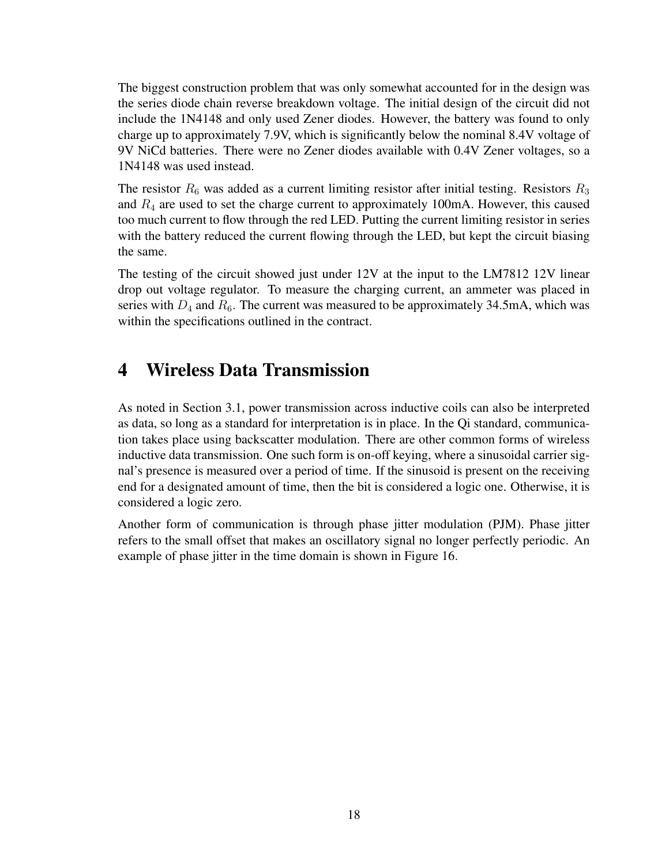The biggest construction problem that was only somewhat accounted for in the design was the series diode chain reverse breakdown voltage. The initial design of the circuit did not include the 1N4148 and only used Zener diodes. However, the battery was found to only charge up to approximately 7.9V, which is significantly below the nominal 8.4V voltage of 9V NiCd batteries. There were no Zener diodes available with 0.4V Zener voltages, so a 1N4148 was used instead.

The resistor  $R_6$  was added as a current limiting resistor after initial testing. Resistors  $R_3$ and  $R_4$  are used to set the charge current to approximately 100mA. However, this caused too much current to flow through the red LED. Putting the current limiting resistor in series with the battery reduced the current flowing through the LED, but kept the circuit biasing the same.

The testing of the circuit showed just under 12V at the input to the LM7812 12V linear drop out voltage regulator. To measure the charging current, an ammeter was placed in series with  $D_4$  and  $R_6$ . The current was measured to be approximately 34.5mA, which was within the specifications outlined in the contract.

### 4 Wireless Data Transmission

As noted in Section 3.1, power transmission across inductive coils can also be interpreted as data, so long as a standard for interpretation is in place. In the Qi standard, communication takes place using backscatter modulation. There are other common forms of wireless inductive data transmission. One such form is on-off keying, where a sinusoidal carrier signal's presence is measured over a period of time. If the sinusoid is present on the receiving end for a designated amount of time, then the bit is considered a logic one. Otherwise, it is considered a logic zero.

Another form of communication is through phase jitter modulation (PJM). Phase jitter refers to the small offset that makes an oscillatory signal no longer perfectly periodic. An example of phase jitter in the time domain is shown in Figure 16.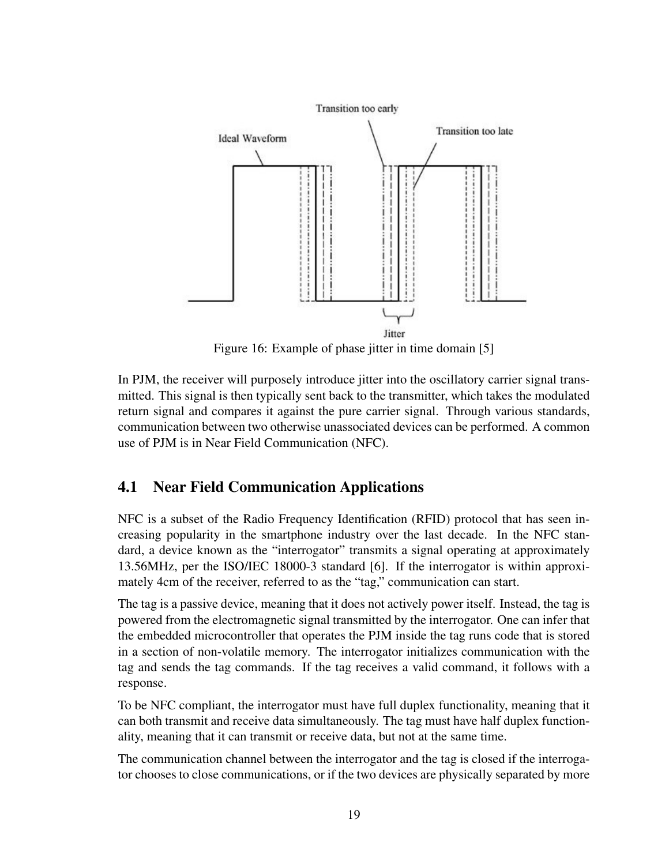

Figure 16: Example of phase jitter in time domain [5]

In PJM, the receiver will purposely introduce jitter into the oscillatory carrier signal transmitted. This signal is then typically sent back to the transmitter, which takes the modulated return signal and compares it against the pure carrier signal. Through various standards, communication between two otherwise unassociated devices can be performed. A common use of PJM is in Near Field Communication (NFC).

### 4.1 Near Field Communication Applications

NFC is a subset of the Radio Frequency Identification (RFID) protocol that has seen increasing popularity in the smartphone industry over the last decade. In the NFC standard, a device known as the "interrogator" transmits a signal operating at approximately 13.56MHz, per the ISO/IEC 18000-3 standard [6]. If the interrogator is within approximately 4cm of the receiver, referred to as the "tag," communication can start.

The tag is a passive device, meaning that it does not actively power itself. Instead, the tag is powered from the electromagnetic signal transmitted by the interrogator. One can infer that the embedded microcontroller that operates the PJM inside the tag runs code that is stored in a section of non-volatile memory. The interrogator initializes communication with the tag and sends the tag commands. If the tag receives a valid command, it follows with a response.

To be NFC compliant, the interrogator must have full duplex functionality, meaning that it can both transmit and receive data simultaneously. The tag must have half duplex functionality, meaning that it can transmit or receive data, but not at the same time.

The communication channel between the interrogator and the tag is closed if the interrogator chooses to close communications, or if the two devices are physically separated by more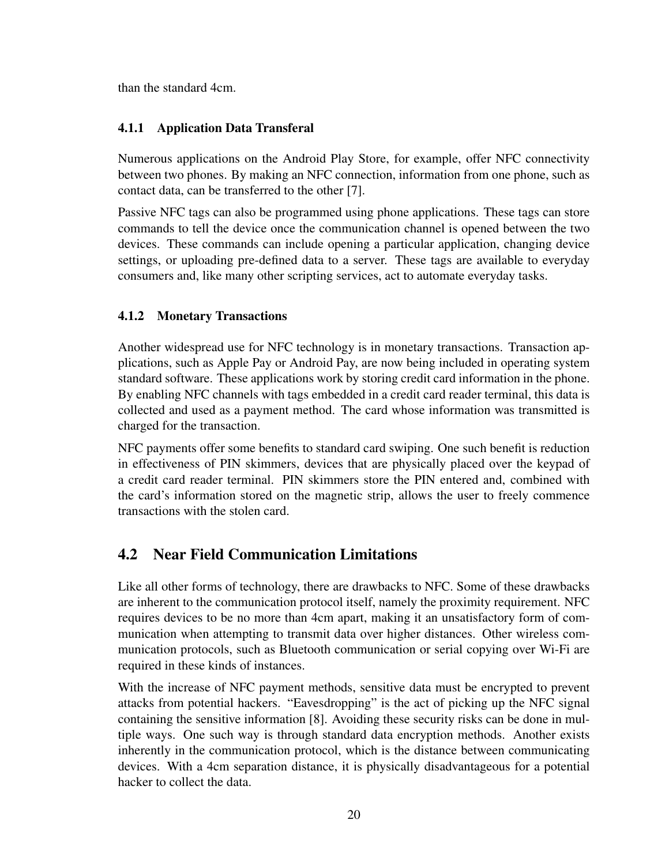than the standard 4cm.

#### 4.1.1 Application Data Transferal

Numerous applications on the Android Play Store, for example, offer NFC connectivity between two phones. By making an NFC connection, information from one phone, such as contact data, can be transferred to the other [7].

Passive NFC tags can also be programmed using phone applications. These tags can store commands to tell the device once the communication channel is opened between the two devices. These commands can include opening a particular application, changing device settings, or uploading pre-defined data to a server. These tags are available to everyday consumers and, like many other scripting services, act to automate everyday tasks.

#### 4.1.2 Monetary Transactions

Another widespread use for NFC technology is in monetary transactions. Transaction applications, such as Apple Pay or Android Pay, are now being included in operating system standard software. These applications work by storing credit card information in the phone. By enabling NFC channels with tags embedded in a credit card reader terminal, this data is collected and used as a payment method. The card whose information was transmitted is charged for the transaction.

NFC payments offer some benefits to standard card swiping. One such benefit is reduction in effectiveness of PIN skimmers, devices that are physically placed over the keypad of a credit card reader terminal. PIN skimmers store the PIN entered and, combined with the card's information stored on the magnetic strip, allows the user to freely commence transactions with the stolen card.

### 4.2 Near Field Communication Limitations

Like all other forms of technology, there are drawbacks to NFC. Some of these drawbacks are inherent to the communication protocol itself, namely the proximity requirement. NFC requires devices to be no more than 4cm apart, making it an unsatisfactory form of communication when attempting to transmit data over higher distances. Other wireless communication protocols, such as Bluetooth communication or serial copying over Wi-Fi are required in these kinds of instances.

With the increase of NFC payment methods, sensitive data must be encrypted to prevent attacks from potential hackers. "Eavesdropping" is the act of picking up the NFC signal containing the sensitive information [8]. Avoiding these security risks can be done in multiple ways. One such way is through standard data encryption methods. Another exists inherently in the communication protocol, which is the distance between communicating devices. With a 4cm separation distance, it is physically disadvantageous for a potential hacker to collect the data.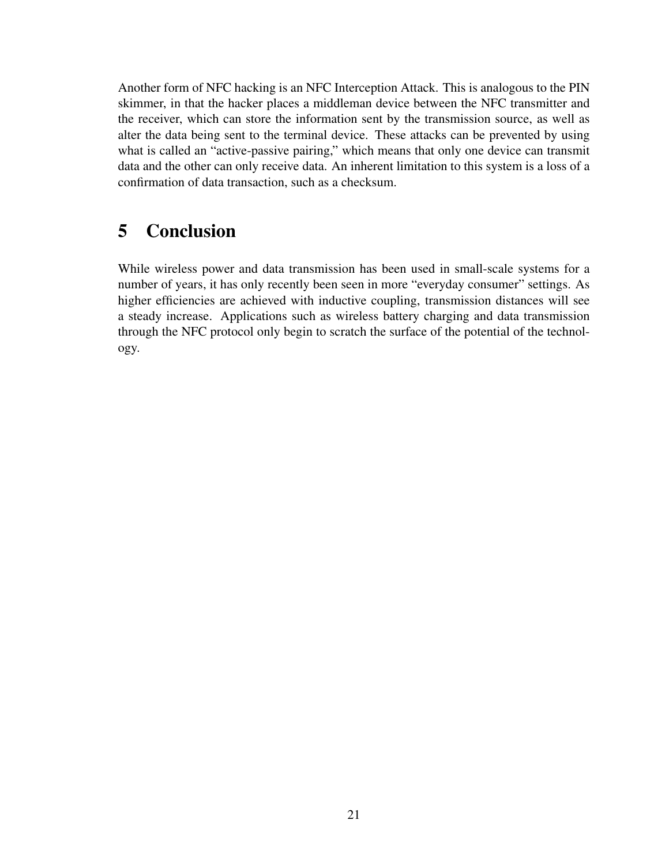Another form of NFC hacking is an NFC Interception Attack. This is analogous to the PIN skimmer, in that the hacker places a middleman device between the NFC transmitter and the receiver, which can store the information sent by the transmission source, as well as alter the data being sent to the terminal device. These attacks can be prevented by using what is called an "active-passive pairing," which means that only one device can transmit data and the other can only receive data. An inherent limitation to this system is a loss of a confirmation of data transaction, such as a checksum.

## 5 Conclusion

While wireless power and data transmission has been used in small-scale systems for a number of years, it has only recently been seen in more "everyday consumer" settings. As higher efficiencies are achieved with inductive coupling, transmission distances will see a steady increase. Applications such as wireless battery charging and data transmission through the NFC protocol only begin to scratch the surface of the potential of the technology.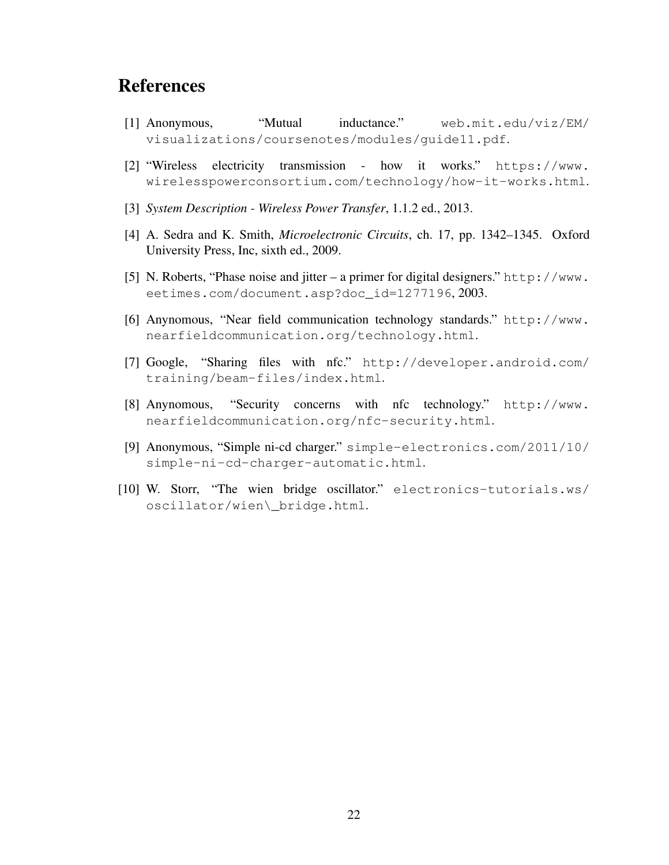### References

- [1] Anonymous, "Mutual inductance." web.mit.edu/viz/EM/ visualizations/coursenotes/modules/guide11.pdf.
- [2] "Wireless electricity transmission how it works." https://www. wirelesspowerconsortium.com/technology/how-it-works.html.
- [3] *System Description Wireless Power Transfer*, 1.1.2 ed., 2013.
- [4] A. Sedra and K. Smith, *Microelectronic Circuits*, ch. 17, pp. 1342–1345. Oxford University Press, Inc, sixth ed., 2009.
- [5] N. Roberts, "Phase noise and jitter a primer for digital designers." http://www. eetimes.com/document.asp?doc\_id=1277196, 2003.
- [6] Anynomous, "Near field communication technology standards." http://www. nearfieldcommunication.org/technology.html.
- [7] Google, "Sharing files with nfc." http://developer.android.com/ training/beam-files/index.html.
- [8] Anynomous, "Security concerns with nfc technology." http://www. nearfieldcommunication.org/nfc-security.html.
- [9] Anonymous, "Simple ni-cd charger." simple-electronics.com/2011/10/ simple-ni-cd-charger-automatic.html.
- [10] W. Storr, "The wien bridge oscillator." electronics-tutorials.ws/ oscillator/wien\\_bridge.html.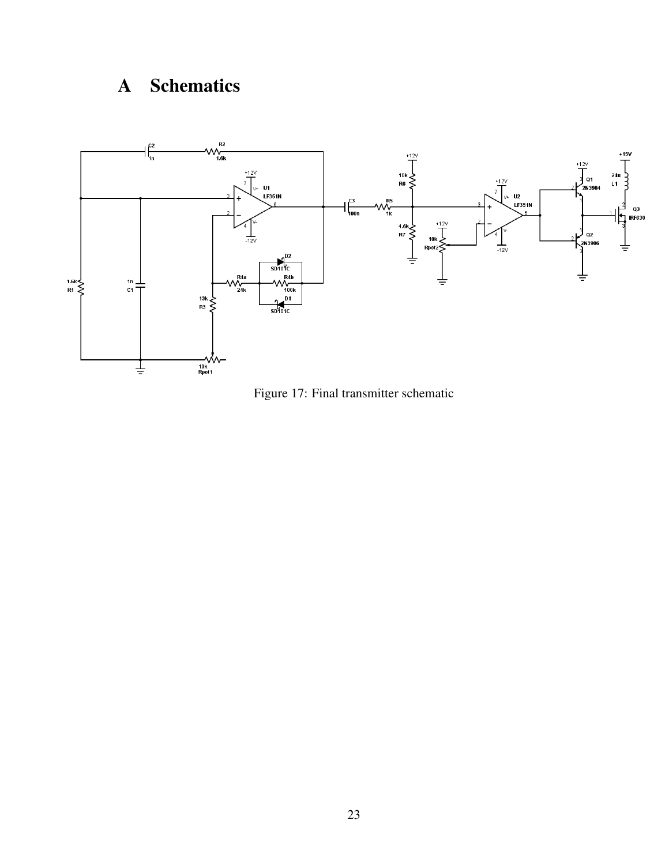# A Schematics



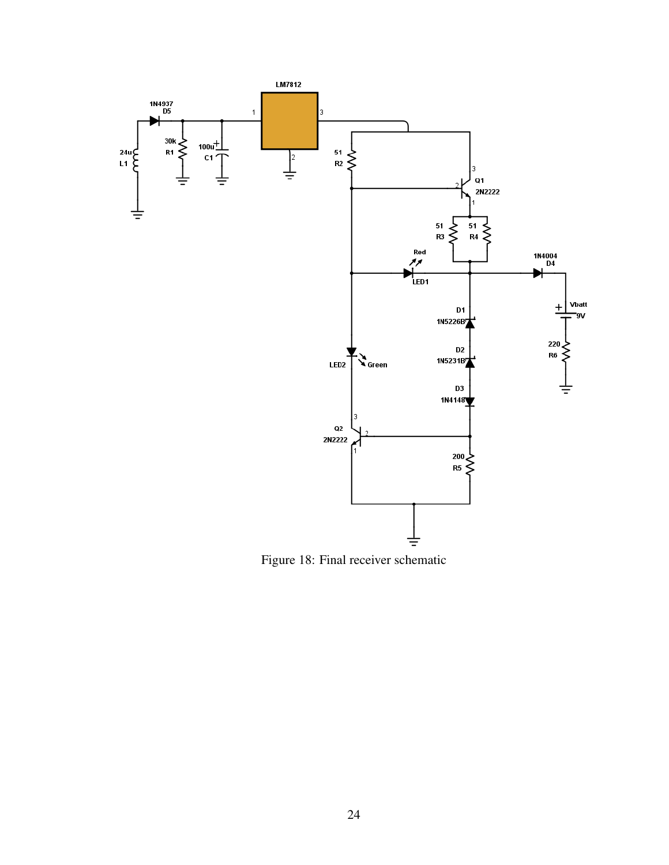

Figure 18: Final receiver schematic